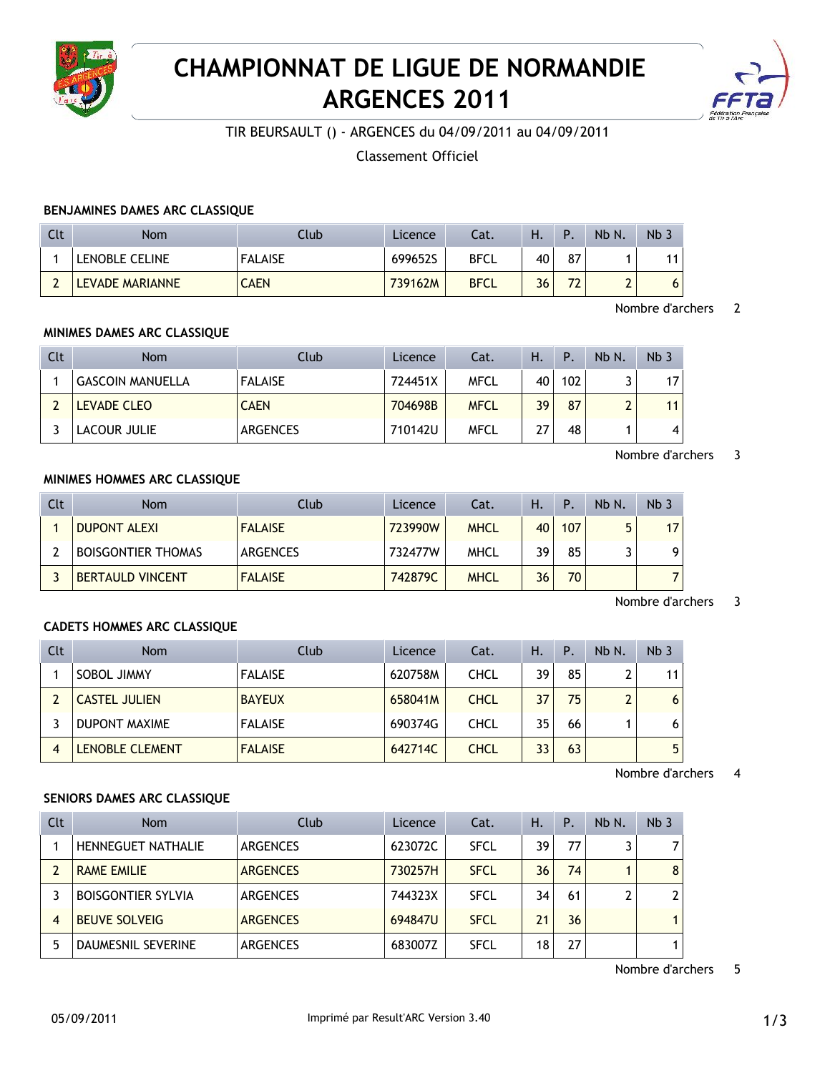

# **CHAMPIONNAT DE LIGUE DE NORMANDIE ARGENCES 2011**



TIR BEURSAULT () - ARGENCES du 04/09/2011 au 04/09/2011

Classement Officiel

## **BENJAMINES DAMES ARC CLASSIQUE**

| Clt | Nom             | Club           | Licence | Cat.        | H. | Р.  | Nb N.  | Nb. |
|-----|-----------------|----------------|---------|-------------|----|-----|--------|-----|
|     | LENOBLE CELINE  | <b>FALAISE</b> | 699652S | <b>BFCL</b> | 40 | 87  |        | 11  |
|     | LEVADE MARIANNE | <b>CAEN</b>    | 739162M | <b>BFCL</b> | 36 | -70 | ◠<br>∸ | 6   |

Nombre d'archers 2

#### **MINIMES DAMES ARC CLASSIQUE**

| Clt | <b>Nom</b>              | Club            | Licence | Cat.        | н. | Ρ.  | Nb N.  | Nb <sub>3</sub> |
|-----|-------------------------|-----------------|---------|-------------|----|-----|--------|-----------------|
|     | <b>GASCOIN MANUELLA</b> | <b>FALAISE</b>  | 724451X | <b>MFCL</b> | 40 | 102 |        | 17              |
|     | LEVADE CLEO             | <b>CAEN</b>     | 704698B | <b>MFCL</b> | 39 | 87  | $\sim$ | 11              |
|     | LACOUR JULIE            | <b>ARGENCES</b> | 710142U | <b>MFCL</b> | 27 | 48  |        | 4               |

Nombre d'archers 3

# **MINIMES HOMMES ARC CLASSIQUE**

| Clt | <b>Nom</b>                | Club            | Licence | Cat.        | Н. | Ρ.  | Nb N. | Nb <sub>3</sub> |
|-----|---------------------------|-----------------|---------|-------------|----|-----|-------|-----------------|
|     | <b>DUPONT ALEXI</b>       | <b>FALAISE</b>  | 723990W | <b>MHCL</b> | 40 | 107 | г,    | 17 <sup>1</sup> |
|     | <b>BOISGONTIER THOMAS</b> | <b>ARGENCES</b> | 732477W | MHCL        | 39 | 85  |       | 9               |
|     | <b>BERTAULD VINCENT</b>   | <b>FALAISE</b>  | 742879C | <b>MHCL</b> | 36 | 70  |       |                 |

#### Nombre d'archers 3

## **CADETS HOMMES ARC CLASSIQUE**

| Clt | <b>Nom</b>           | Club           | Licence | Cat.        | Н. | $\mathsf{P}$ | Nb N.        | Nb <sub>3</sub> |
|-----|----------------------|----------------|---------|-------------|----|--------------|--------------|-----------------|
|     | SOBOL JIMMY          | <b>FALAISE</b> | 620758M | CHCL        | 39 | 85           | ົ            | 11              |
|     | <b>CASTEL JULIEN</b> | <b>BAYEUX</b>  | 658041M | <b>CHCL</b> | 37 | 75           | $\mathbf{D}$ | 6 <sup>1</sup>  |
|     | <b>DUPONT MAXIME</b> | <b>FALAISE</b> | 690374G | CHCL        | 35 | 66           |              | 6               |
|     | LENOBLE CLEMENT      | <b>FALAISE</b> | 642714C | <b>CHCL</b> | 33 | 63           |              | 5 <sup>1</sup>  |

Nombre d'archers 4

## **SENIORS DAMES ARC CLASSIQUE**

| Clt            | <b>Nom</b>                | Club            | Licence | Cat.        | Η. | Ρ. | Nb N. | Nb <sub>3</sub> |
|----------------|---------------------------|-----------------|---------|-------------|----|----|-------|-----------------|
|                | <b>HENNEGUET NATHALIE</b> | <b>ARGENCES</b> | 623072C | <b>SFCL</b> | 39 | 77 | 3     | 7               |
|                | <b>RAME EMILIE</b>        | <b>ARGENCES</b> | 730257H | <b>SFCL</b> | 36 | 74 |       | 8               |
|                | <b>BOISGONTIER SYLVIA</b> | ARGENCES        | 744323X | <b>SFCL</b> | 34 | 61 | 2     | 2               |
| $\overline{4}$ | <b>BEUVE SOLVEIG</b>      | <b>ARGENCES</b> | 694847U | <b>SFCL</b> | 21 | 36 |       |                 |
|                | <b>DAUMESNIL SEVERINE</b> | <b>ARGENCES</b> | 683007Z | <b>SFCL</b> | 18 | 27 |       |                 |

Nombre d'archers 5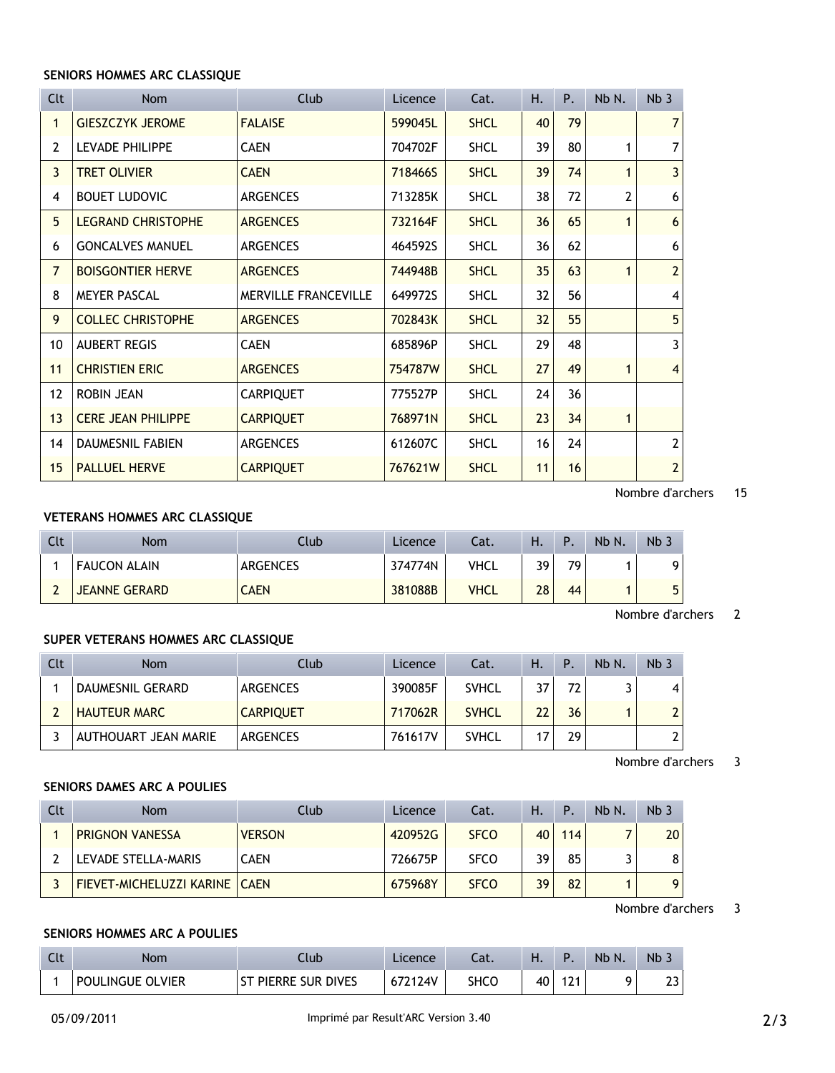#### **SENIORS HOMMES ARC CLASSIQUE**

| <b>Clt</b>       | <b>Nom</b>                | <b>Club</b>                 | Licence | Cat.        | Η. | P. | Nb N.        | Nb <sub>3</sub> |
|------------------|---------------------------|-----------------------------|---------|-------------|----|----|--------------|-----------------|
|                  | <b>GIESZCZYK JEROME</b>   | <b>FALAISE</b>              | 599045L | <b>SHCL</b> | 40 | 79 |              | $\overline{7}$  |
| 2                | <b>LEVADE PHILIPPE</b>    | <b>CAEN</b>                 | 704702F | <b>SHCL</b> | 39 | 80 | 1            | 7               |
| 3                | <b>TRET OLIVIER</b>       | <b>CAEN</b>                 | 718466S | <b>SHCL</b> | 39 | 74 | 1            | 3               |
| 4                | <b>BOUET LUDOVIC</b>      | <b>ARGENCES</b>             | 713285K | <b>SHCL</b> | 38 | 72 | 2            | 6               |
| 5                | <b>LEGRAND CHRISTOPHE</b> | <b>ARGENCES</b>             | 732164F | <b>SHCL</b> | 36 | 65 | 1            | 6               |
| 6                | <b>GONCALVES MANUEL</b>   | <b>ARGENCES</b>             | 464592S | <b>SHCL</b> | 36 | 62 |              | 6               |
| $\overline{7}$   | <b>BOISGONTIER HERVE</b>  | <b>ARGENCES</b>             | 744948B | <b>SHCL</b> | 35 | 63 | 1            | $\overline{2}$  |
| 8                | <b>MEYER PASCAL</b>       | <b>MERVILLE FRANCEVILLE</b> | 649972S | <b>SHCL</b> | 32 | 56 |              | 4               |
| 9                | <b>COLLEC CHRISTOPHE</b>  | <b>ARGENCES</b>             | 702843K | <b>SHCL</b> | 32 | 55 |              | 5               |
| 10               | <b>AUBERT REGIS</b>       | <b>CAEN</b>                 | 685896P | <b>SHCL</b> | 29 | 48 |              | 3               |
| 11               | <b>CHRISTIEN ERIC</b>     | <b>ARGENCES</b>             | 754787W | <b>SHCL</b> | 27 | 49 | 1            | $\overline{4}$  |
| 12               | <b>ROBIN JEAN</b>         | <b>CARPIQUET</b>            | 775527P | <b>SHCL</b> | 24 | 36 |              |                 |
| 13               | <b>CERE JEAN PHILIPPE</b> | <b>CARPIQUET</b>            | 768971N | <b>SHCL</b> | 23 | 34 | $\mathbf{1}$ |                 |
| 14               | <b>DAUMESNIL FABIEN</b>   | <b>ARGENCES</b>             | 612607C | <b>SHCL</b> | 16 | 24 |              | $\mathbf{2}$    |
| 15 <sup>15</sup> | <b>PALLUEL HERVE</b>      | <b>CARPIQUET</b>            | 767621W | <b>SHCL</b> | 11 | 16 |              | $\overline{2}$  |

Nombre d'archers 15

# **VETERANS HOMMES ARC CLASSIQUE**

| Clt | <b>Nom</b>           | Llub.           | <b>Licence</b> | Cat.        | Н. | Þ   | Nb N. | Nb <sub>3</sub> |
|-----|----------------------|-----------------|----------------|-------------|----|-----|-------|-----------------|
|     | <b>FAUCON ALAIN</b>  | <b>ARGENCES</b> | 374774N        | <b>VHCL</b> | 39 | 70. |       |                 |
|     | <b>JEANNE GERARD</b> | CAEN            | 381088B        | <b>VHCL</b> | 28 | 44  |       |                 |

Nombre d'archers 2

#### **SUPER VETERANS HOMMES ARC CLASSIQUE**

| Clt | <b>Nom</b>           | Club             | Licence | Cat.         | Η. | $\mathsf{P}$ . | Nb N. | Nb <sub>3</sub> |
|-----|----------------------|------------------|---------|--------------|----|----------------|-------|-----------------|
|     | DAUMESNIL GERARD     | ARGENCES         | 390085F | <b>SVHCL</b> | 37 | 72             |       | $\overline{4}$  |
|     | <b>HAUTEUR MARC</b>  | <b>CARPIQUET</b> | 717062R | <b>SVHCL</b> | 22 | 36             |       | $\overline{2}$  |
|     | AUTHOUART JEAN MARIE | <b>ARGENCES</b>  | 761617V | <b>SVHCL</b> |    | 29             |       |                 |

Nombre d'archers 3

# **SENIORS DAMES ARC A POULIES**

| Clt | <b>Nom</b>                      | Club          | Licence | Cat.        | Η. | ۱Р. | Nb N. | Nb <sub>3</sub> |
|-----|---------------------------------|---------------|---------|-------------|----|-----|-------|-----------------|
|     | <b>PRIGNON VANESSA</b>          | <b>VERSON</b> | 420952G | <b>SFCO</b> | 40 | 114 |       | 20              |
|     | LEVADE STELLA-MARIS             | <b>CAEN</b>   | 726675P | <b>SFCO</b> | 39 | 85  |       | 8               |
|     | FIEVET-MICHELUZZI KARINE   CAEN |               | 675968Y | <b>SFCO</b> | 39 | 82  |       | 9               |

Nombre d'archers 3

#### **SENIORS HOMMES ARC A POULIES**

| Clt |                  | lub.             | Licence | $-1$ | п. |                | <b>Nb</b><br>N | N <sub>b</sub> |
|-----|------------------|------------------|---------|------|----|----------------|----------------|----------------|
|     | POULINGUE OLVIER | PIERRE SUR DIVES | 124V    | SHCC | 40 | ٥٩<br><u>.</u> |                | າາ<br>د⊾       |